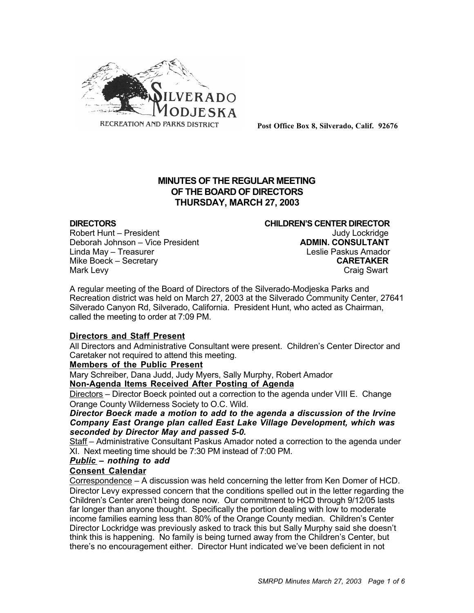

**Post Office Box 8, Silverado, Calif. 92676**

# **MINUTES OF THE REGULAR MEETING OF THE BOARD OF DIRECTORS THURSDAY, MARCH 27, 2003**

Robert Hunt – President Judy Lockridge Deborah Johnson – Vice President Linda May – Treasurer Leslie Paskus Amador Mike Boeck – Secretary **CARETAKER** Mark Levy **Craig Swart** 

**DIRECTORS CHILDREN'S CENTER DIRECTOR**

A regular meeting of the Board of Directors of the Silverado-Modjeska Parks and Recreation district was held on March 27, 2003 at the Silverado Community Center, 27641 Silverado Canyon Rd, Silverado, California. President Hunt, who acted as Chairman, called the meeting to order at 7:09 PM.

## **Directors and Staff Present**

All Directors and Administrative Consultant were present. Children's Center Director and Caretaker not required to attend this meeting.

## **Members of the Public Present**

Mary Schreiber, Dana Judd, Judy Myers, Sally Murphy, Robert Amador **Non-Agenda Items Received After Posting of Agenda**

Directors – Director Boeck pointed out a correction to the agenda under VIII E. Change Orange County Wilderness Society to O.C. Wild.

*Director Boeck made a motion to add to the agenda a discussion of the Irvine Company East Orange plan called East Lake Village Development, which was seconded by Director May and passed 5-0.*

Staff – Administrative Consultant Paskus Amador noted a correction to the agenda under XI. Next meeting time should be 7:30 PM instead of 7:00 PM.

## *Public – nothing to add*

## **Consent Calendar**

Correspondence – A discussion was held concerning the letter from Ken Domer of HCD. Director Levy expressed concern that the conditions spelled out in the letter regarding the Children's Center aren't being done now. Our commitment to HCD through 9/12/05 lasts far longer than anyone thought. Specifically the portion dealing with low to moderate income families earning less than 80% of the Orange County median. Children's Center Director Lockridge was previously asked to track this but Sally Murphy said she doesn't think this is happening. No family is being turned away from the Children's Center, but there's no encouragement either. Director Hunt indicated we've been deficient in not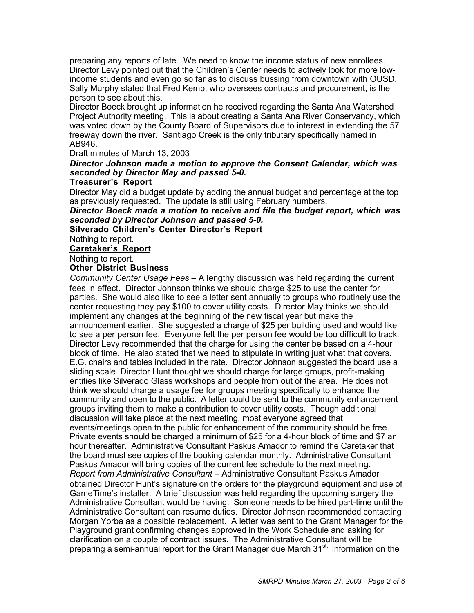preparing any reports of late. We need to know the income status of new enrollees. Director Levy pointed out that the Children's Center needs to actively look for more lowincome students and even go so far as to discuss bussing from downtown with OUSD. Sally Murphy stated that Fred Kemp, who oversees contracts and procurement, is the person to see about this.

Director Boeck brought up information he received regarding the Santa Ana Watershed Project Authority meeting. This is about creating a Santa Ana River Conservancy, which was voted down by the County Board of Supervisors due to interest in extending the 57 freeway down the river. Santiago Creek is the only tributary specifically named in AB946.

# Draft minutes of March 13, 2003

# *Director Johnson made a motion to approve the Consent Calendar, which was seconded by Director May and passed 5-0.*

# **Treasurer's Report**

Director May did a budget update by adding the annual budget and percentage at the top as previously requested. The update is still using February numbers.

*Director Boeck made a motion to receive and file the budget report, which was seconded by Director Johnson and passed 5-0.*

**Silverado Children's Center Director's Report**

Nothing to report.

# **Caretaker's Report**

Nothing to report.

# **Other District Business**

*Community Center Usage Fees* – A lengthy discussion was held regarding the current fees in effect. Director Johnson thinks we should charge \$25 to use the center for parties. She would also like to see a letter sent annually to groups who routinely use the center requesting they pay \$100 to cover utility costs. Director May thinks we should implement any changes at the beginning of the new fiscal year but make the announcement earlier. She suggested a charge of \$25 per building used and would like to see a per person fee. Everyone felt the per person fee would be too difficult to track. Director Levy recommended that the charge for using the center be based on a 4-hour block of time. He also stated that we need to stipulate in writing just what that covers. E.G. chairs and tables included in the rate. Director Johnson suggested the board use a sliding scale. Director Hunt thought we should charge for large groups, profit-making entities like Silverado Glass workshops and people from out of the area. He does not think we should charge a usage fee for groups meeting specifically to enhance the community and open to the public. A letter could be sent to the community enhancement groups inviting them to make a contribution to cover utility costs. Though additional discussion will take place at the next meeting, most everyone agreed that events/meetings open to the public for enhancement of the community should be free. Private events should be charged a minimum of \$25 for a 4-hour block of time and \$7 an hour thereafter. Administrative Consultant Paskus Amador to remind the Caretaker that the board must see copies of the booking calendar monthly. Administrative Consultant Paskus Amador will bring copies of the current fee schedule to the next meeting. *Report from Administrative Consultant* – Administrative Consultant Paskus Amador obtained Director Hunt's signature on the orders for the playground equipment and use of GameTime's installer. A brief discussion was held regarding the upcoming surgery the Administrative Consultant would be having. Someone needs to be hired part-time until the Administrative Consultant can resume duties. Director Johnson recommended contacting Morgan Yorba as a possible replacement. A letter was sent to the Grant Manager for the Playground grant confirming changes approved in the Work Schedule and asking for clarification on a couple of contract issues. The Administrative Consultant will be preparing a semi-annual report for the Grant Manager due March 31<sup>st.</sup> Information on the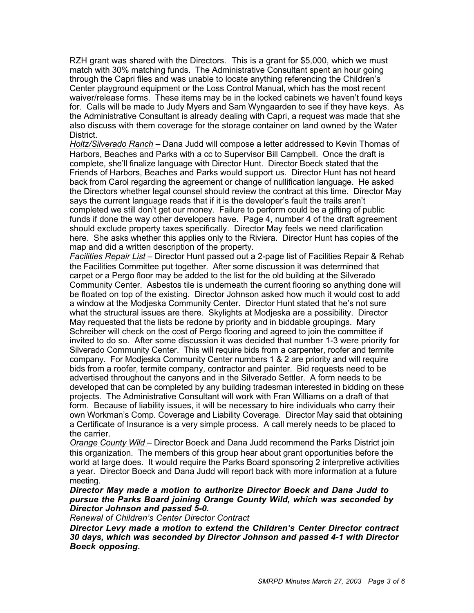RZH grant was shared with the Directors. This is a grant for \$5,000, which we must match with 30% matching funds. The Administrative Consultant spent an hour going through the Capri files and was unable to locate anything referencing the Children's Center playground equipment or the Loss Control Manual, which has the most recent waiver/release forms. These items may be in the locked cabinets we haven't found keys for. Calls will be made to Judy Myers and Sam Wyngaarden to see if they have keys. As the Administrative Consultant is already dealing with Capri, a request was made that she also discuss with them coverage for the storage container on land owned by the Water District.

*Holtz/Silverado Ranch* – Dana Judd will compose a letter addressed to Kevin Thomas of Harbors, Beaches and Parks with a cc to Supervisor Bill Campbell. Once the draft is complete, she'll finalize language with Director Hunt. Director Boeck stated that the Friends of Harbors, Beaches and Parks would support us. Director Hunt has not heard back from Carol regarding the agreement or change of nullification language. He asked the Directors whether legal counsel should review the contract at this time. Director May says the current language reads that if it is the developer's fault the trails aren't completed we still don't get our money. Failure to perform could be a gifting of public funds if done the way other developers have. Page 4, number 4 of the draft agreement should exclude property taxes specifically. Director May feels we need clarification here. She asks whether this applies only to the Riviera. Director Hunt has copies of the map and did a written description of the property.

*Facilities Repair List* – Director Hunt passed out a 2-page list of Facilities Repair & Rehab the Facilities Committee put together. After some discussion it was determined that carpet or a Pergo floor may be added to the list for the old building at the Silverado Community Center. Asbestos tile is underneath the current flooring so anything done will be floated on top of the existing. Director Johnson asked how much it would cost to add a window at the Modjeska Community Center. Director Hunt stated that he's not sure what the structural issues are there. Skylights at Modjeska are a possibility. Director May requested that the lists be redone by priority and in biddable groupings. Mary Schreiber will check on the cost of Pergo flooring and agreed to join the committee if invited to do so. After some discussion it was decided that number 1-3 were priority for Silverado Community Center. This will require bids from a carpenter, roofer and termite company. For Modjeska Community Center numbers 1 & 2 are priority and will require bids from a roofer, termite company, contractor and painter. Bid requests need to be advertised throughout the canyons and in the Silverado Settler. A form needs to be developed that can be completed by any building tradesman interested in bidding on these projects. The Administrative Consultant will work with Fran Williams on a draft of that form. Because of liability issues, it will be necessary to hire individuals who carry their own Workman's Comp. Coverage and Liability Coverage. Director May said that obtaining a Certificate of Insurance is a very simple process. A call merely needs to be placed to the carrier.

*Orange County Wild* – Director Boeck and Dana Judd recommend the Parks District join this organization. The members of this group hear about grant opportunities before the world at large does. It would require the Parks Board sponsoring 2 interpretive activities a year. Director Boeck and Dana Judd will report back with more information at a future meeting.

# *Director May made a motion to authorize Director Boeck and Dana Judd to pursue the Parks Board joining Orange County Wild, which was seconded by Director Johnson and passed 5-0.*

*Renewal of Children's Center Director Contract*

*Director Levy made a motion to extend the Children's Center Director contract 30 days, which was seconded by Director Johnson and passed 4-1 with Director Boeck opposing.*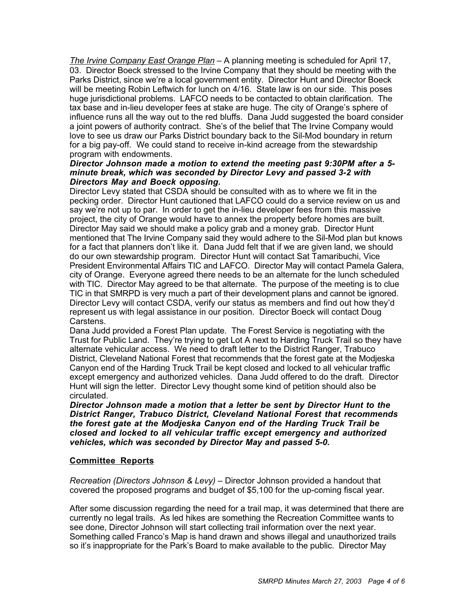*The Irvine Company East Orange Plan* – A planning meeting is scheduled for April 17, 03. Director Boeck stressed to the Irvine Company that they should be meeting with the Parks District, since we're a local government entity. Director Hunt and Director Boeck will be meeting Robin Leftwich for lunch on 4/16. State law is on our side. This poses huge jurisdictional problems. LAFCO needs to be contacted to obtain clarification. The tax base and in-lieu developer fees at stake are huge. The city of Orange's sphere of influence runs all the way out to the red bluffs. Dana Judd suggested the board consider a joint powers of authority contract. She's of the belief that The Irvine Company would love to see us draw our Parks District boundary back to the Sil-Mod boundary in return for a big pay-off. We could stand to receive in-kind acreage from the stewardship program with endowments.

## *Director Johnson made a motion to extend the meeting past 9:30PM after a 5 minute break, which was seconded by Director Levy and passed 3-2 with Directors May and Boeck opposing.*

Director Levy stated that CSDA should be consulted with as to where we fit in the pecking order. Director Hunt cautioned that LAFCO could do a service review on us and say we're not up to par. In order to get the in-lieu developer fees from this massive project, the city of Orange would have to annex the property before homes are built. Director May said we should make a policy grab and a money grab. Director Hunt mentioned that The Irvine Company said they would adhere to the Sil-Mod plan but knows for a fact that planners don't like it. Dana Judd felt that if we are given land, we should do our own stewardship program. Director Hunt will contact Sat Tamaribuchi, Vice President Environmental Affairs TIC and LAFCO. Director May will contact Pamela Galera, city of Orange. Everyone agreed there needs to be an alternate for the lunch scheduled with TIC. Director May agreed to be that alternate. The purpose of the meeting is to clue TIC in that SMRPD is very much a part of their development plans and cannot be ignored. Director Levy will contact CSDA, verify our status as members and find out how they'd represent us with legal assistance in our position. Director Boeck will contact Doug Carstens.

Dana Judd provided a Forest Plan update. The Forest Service is negotiating with the Trust for Public Land. They're trying to get Lot A next to Harding Truck Trail so they have alternate vehicular access. We need to draft letter to the District Ranger, Trabuco District, Cleveland National Forest that recommends that the forest gate at the Modjeska Canyon end of the Harding Truck Trail be kept closed and locked to all vehicular traffic except emergency and authorized vehicles. Dana Judd offered to do the draft. Director Hunt will sign the letter. Director Levy thought some kind of petition should also be circulated.

*Director Johnson made a motion that a letter be sent by Director Hunt to the District Ranger, Trabuco District, Cleveland National Forest that recommends the forest gate at the Modjeska Canyon end of the Harding Truck Trail be closed and locked to all vehicular traffic except emergency and authorized vehicles, which was seconded by Director May and passed 5-0.*

## **Committee Reports**

*Recreation (Directors Johnson & Levy)* – Director Johnson provided a handout that covered the proposed programs and budget of \$5,100 for the up-coming fiscal year.

After some discussion regarding the need for a trail map, it was determined that there are currently no legal trails. As led hikes are something the Recreation Committee wants to see done, Director Johnson will start collecting trail information over the next year. Something called Franco's Map is hand drawn and shows illegal and unauthorized trails so it's inappropriate for the Park's Board to make available to the public. Director May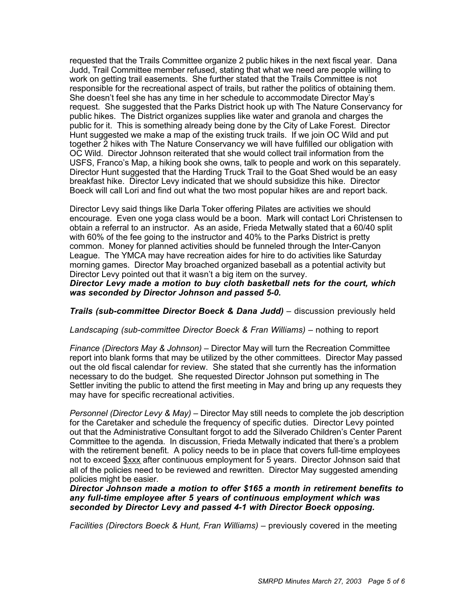requested that the Trails Committee organize 2 public hikes in the next fiscal year. Dana Judd, Trail Committee member refused, stating that what we need are people willing to work on getting trail easements. She further stated that the Trails Committee is not responsible for the recreational aspect of trails, but rather the politics of obtaining them. She doesn't feel she has any time in her schedule to accommodate Director May's request. She suggested that the Parks District hook up with The Nature Conservancy for public hikes. The District organizes supplies like water and granola and charges the public for it. This is something already being done by the City of Lake Forest. Director Hunt suggested we make a map of the existing truck trails. If we join OC Wild and put together 2 hikes with The Nature Conservancy we will have fulfilled our obligation with OC Wild. Director Johnson reiterated that she would collect trail information from the USFS, Franco's Map, a hiking book she owns, talk to people and work on this separately. Director Hunt suggested that the Harding Truck Trail to the Goat Shed would be an easy breakfast hike. Director Levy indicated that we should subsidize this hike. Director Boeck will call Lori and find out what the two most popular hikes are and report back.

Director Levy said things like Darla Toker offering Pilates are activities we should encourage. Even one yoga class would be a boon. Mark will contact Lori Christensen to obtain a referral to an instructor. As an aside, Frieda Metwally stated that a 60/40 split with 60% of the fee going to the instructor and 40% to the Parks District is pretty common. Money for planned activities should be funneled through the Inter-Canyon League. The YMCA may have recreation aides for hire to do activities like Saturday morning games. Director May broached organized baseball as a potential activity but Director Levy pointed out that it wasn't a big item on the survey.

*Director Levy made a motion to buy cloth basketball nets for the court, which was seconded by Director Johnson and passed 5-0.*

## *Trails (sub-committee Director Boeck & Dana Judd) – discussion previously held*

#### Landscaping (sub-committee Director Boeck & Fran Williams) – nothing to report

*Finance (Directors May & Johnson)* – Director May will turn the Recreation Committee report into blank forms that may be utilized by the other committees. Director May passed out the old fiscal calendar for review. She stated that she currently has the information necessary to do the budget. She requested Director Johnson put something in The Settler inviting the public to attend the first meeting in May and bring up any requests they may have for specific recreational activities.

*Personnel (Director Levy & May)* – Director May still needs to complete the job description for the Caretaker and schedule the frequency of specific duties. Director Levy pointed out that the Administrative Consultant forgot to add the Silverado Children's Center Parent Committee to the agenda. In discussion, Frieda Metwally indicated that there's a problem with the retirement benefit. A policy needs to be in place that covers full-time employees not to exceed  $\frac{2}{3}$ xxx after continuous employment for 5 years. Director Johnson said that all of the policies need to be reviewed and rewritten. Director May suggested amending policies might be easier.

#### *Director Johnson made a motion to offer \$165 a month in retirement benefits to any full-time employee after 5 years of continuous employment which was seconded by Director Levy and passed 4-1 with Director Boeck opposing.*

*Facilities (Directors Boeck & Hunt, Fran Williams) – previously covered in the meeting*